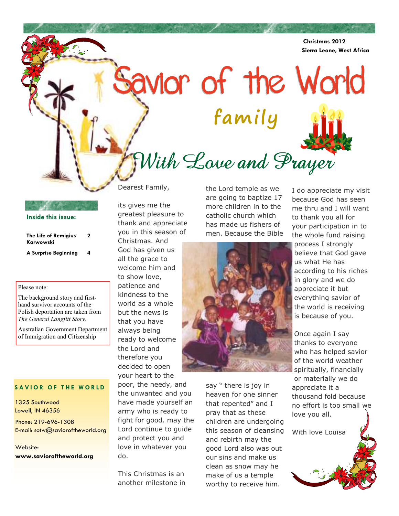**Christmas 2012 Sierra Leone, West Africa** 

# With Love and Prayer

**family** 

Savior of the World

the Lord temple as we are going to baptize 17 more children in to the catholic church which has made us fishers of men. Because the Bible

Dearest Family,

its gives me the greatest pleasure to thank and appreciate you in this season of

Christmas. And God has given us all the grace to welcome him and to show love, patience and kindness to the world as a whole but the news is that you have always being ready to welcome the Lord and therefore you decided to open your heart to the

poor, the needy, and the unwanted and you have made yourself an army who is ready to fight for good. may the Lord continue to guide and protect you and love in whatever you do.

This Christmas is an another milestone in say " there is joy in heaven for one sinner that repented" and I pray that as these children are undergoing this season of cleansing and rebirth may the good Lord also was out our sins and make us clean as snow may he make of us a temple worthy to receive him.

I do appreciate my visit because God has seen me thru and I will want to thank you all for your participation in to the whole fund raising process I strongly believe that God gave us what He has according to his riches in glory and we do

appreciate it but everything savior of the world is receiving is because of you.

Once again I say thanks to everyone who has helped savior of the world weather spiritually, financially or materially we do appreciate it a thousand fold because no effort is too small we love you all.

With love Louisa

**SAVIOR OF THE WORLD** 

**The Life of Remigius Karwowski** 

Please note:

**Inside this issue:**

**A Surprise Beginning 4** 

The background story and firsthand survivor accounts of the Polish deportation are taken from *The General Langfitt Story*,

Australian Government Department of Immigration and Citizenship

**2** 

1325 Southwood Lowell, IN 46356 Phone: 219-696-1308 E-mail: sotw@savioroftheworld.org

Website: **www.savioroftheworld.org** 

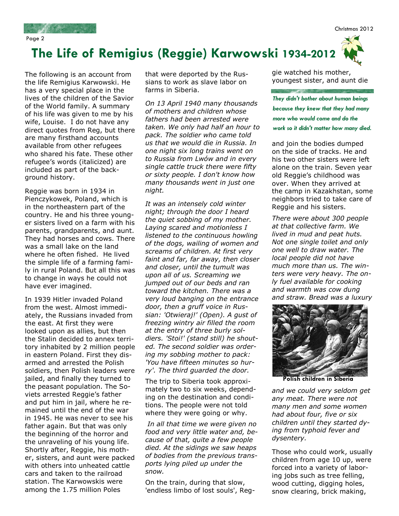Christmas 2012

Page 2

## **The Life of Remigius (Reggie) Karwowski 1934-2012**

The following is an account from the life Remigius Karwowski. He has a very special place in the lives of the children of the Savior of the World family. A summary of his life was given to me by his wife, Louise. I do not have any direct quotes from Reg, but there are many firsthand accounts available from other refugees who shared his fate. These other refugee's words (italicized) are included as part of the background history.

Reggie was born in 1934 in Pienczykowek, Poland, which is in the northeastern part of the country. He and his three younger sisters lived on a farm with his parents, grandparents, and aunt. They had horses and cows. There was a small lake on the land where he often fished. He lived the simple life of a farming family in rural Poland. But all this was to change in ways he could not have ever imagined.

In 1939 Hitler invaded Poland from the west. Almost immediately, the Russians invaded from the east. At first they were looked upon as allies, but then the Stalin decided to annex territory inhabited by 2 million people in eastern Poland. First they disarmed and arrested the Polish soldiers, then Polish leaders were jailed, and finally they turned to the peasant population. The Soviets arrested Reggie's father and put him in jail, where he remained until the end of the war in 1945. He was never to see his father again. But that was only the beginning of the horror and the unraveling of his young life. Shortly after, Reggie, his mother, sisters, and aunt were packed with others into unheated cattle cars and taken to the railroad station. The Karwowskis were among the 1.75 million Poles

that were deported by the Russians to work as slave labor on farms in Siberia.

*On 13 April 1940 many thousands of mothers and children whose fathers had been arrested were taken. We only had half an hour to pack. The soldier who came told us that we would die in Russia. In one night six long trains went on to Russia from Lwów and in every single cattle truck there were fifty or sixty people. I don't know how many thousands went in just one night.* 

*It was an intensely cold winter night; through the door I heard the quiet sobbing of my mother. Laying scared and motionless I listened to the continuous howling of the dogs, wailing of women and screams of children. At first very faint and far, far away, then closer and closer, until the tumult was upon all of us. Screaming we jumped out of our beds and ran toward the kitchen. There was a very loud banging on the entrance door, then a gruff voice in Russian: 'Otwieraj!' (Open). A gust of freezing wintry air filled the room at the entry of three burly soldiers. 'Stoi!' (stand still) he shouted. The second soldier was ordering my sobbing mother to pack: 'You have fifteen minutes so hurry'. The third guarded the door.* 

The trip to Siberia took approximately two to six weeks, depending on the destination and conditions. The people were not told where they were going or why.

 *In all that time we were given no food and very little water and, because of that, quite a few people died. At the sidings we saw heaps of bodies from the previous transports lying piled up under the snow.* 

On the train, during that slow, 'endless limbo of lost souls', Reg-

gie watched his mother, youngest sister, and aunt die

*They didn't bother about human beings because they knew that they had many more who would come and do the work so it didn't matter how many died.* 

and join the bodies dumped on the side of tracks. He and his two other sisters were left alone on the train. Seven year old Reggie's childhood was over. When they arrived at the camp in Kazakhstan, some neighbors tried to take care of Reggie and his sisters.

*There were about 300 people at that collective farm. We lived in mud and peat huts. Not one single toilet and only one well to draw water. The local people did not have much more than us. The winters were very heavy. The only fuel available for cooking and warmth was cow dung and straw. Bread was a luxury* 



**Polish children in Siberia** 

*and we could very seldom get any meat. There were not many men and some women had about four, five or six children until they started dying from typhoid fever and dysentery.* 

Those who could work, usually children from age 10 up, were forced into a variety of laboring jobs such as tree felling, wood cutting, digging holes, snow clearing, brick making,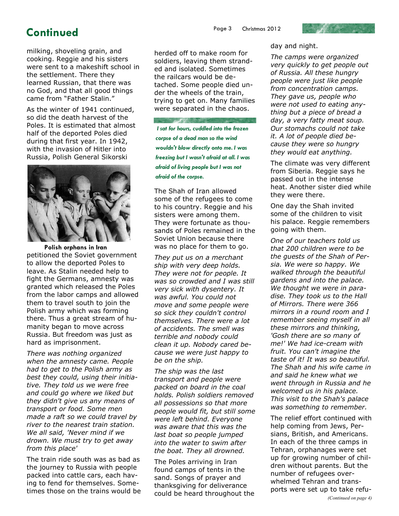## **Continued** Page 3 Christmas 2012

milking, shoveling grain, and cooking. Reggie and his sisters were sent to a makeshift school in the settlement. There they learned Russian, that there was no God, and that all good things came from "Father Stalin."

As the winter of 1941 continued, so did the death harvest of the Poles. It is estimated that almost half of the deported Poles died during that first year. In 1942, with the invasion of Hitler into Russia, Polish General Sikorski



**Polish orphans in Iran**  petitioned the Soviet government to allow the deported Poles to leave. As Stalin needed help to fight the Germans, amnesty was granted which released the Poles from the labor camps and allowed them to travel south to join the Polish army which was forming there. Thus a great stream of humanity began to move across Russia. But freedom was just as hard as imprisonment.

*There was nothing organized when the amnesty came. People had to get to the Polish army as best they could, using their initiative. They told us we were free and could go where we liked but they didn't give us any means of transport or food. Some men made a raft so we could travel by river to the nearest train station. We all said, 'Never mind if we drown. We must try to get away from this place'* 

The train ride south was as bad as the journey to Russia with people packed into cattle cars, each having to fend for themselves. Sometimes those on the trains would be herded off to make room for soldiers, leaving them stranded and isolated. Sometimes the railcars would be detached. Some people died under the wheels of the train, trying to get on. Many families were separated in the chaos.

*I sat for hours, cuddled into the frozen corpse of a dead man so the wind wouldn't blow directly onto me. I was freezing but I wasn't afraid at all. I was afraid of living people but I was not afraid of the corpse.* 

The Shah of Iran allowed some of the refugees to come to his country. Reggie and his sisters were among them. They were fortunate as thousands of Poles remained in the Soviet Union because there was no place for them to go.

*They put us on a merchant ship with very deep holds. They were not for people. It was so crowded and I was still very sick with dysentery. It was awful. You could not move and some people were so sick they couldn't control themselves. There were a lot of accidents. The smell was terrible and nobody could clean it up. Nobody cared because we were just happy to be on the ship.* 

*The ship was the last transport and people were packed on board in the coal holds. Polish soldiers removed all possessions so that more people would fit, but still some were left behind. Everyone was aware that this was the last boat so people jumped into the water to swim after the boat. They all drowned.* 

The Poles arriving in Iran found camps of tents in the sand. Songs of prayer and thanksgiving for deliverance could be heard throughout the day and night.

*The camps were organized very quickly to get people out of Russia. All these hungry people were just like people from concentration camps. They gave us, people who were not used to eating anything but a piece of bread a day, a very fatty meat soup. Our stomachs could not take it. A lot of people died because they were so hungry they would eat anything.* 

The climate was very different from Siberia. Reggie says he passed out in the intense heat. Another sister died while they were there.

One day the Shah invited some of the children to visit his palace. Reggie remembers going with them.

*One of our teachers told us that 200 children were to be the guests of the Shah of Persia. We were so happy. We walked through the beautiful gardens and into the palace. We thought we were in paradise. They took us to the Hall of Mirrors. There were 366 mirrors in a round room and I remember seeing myself in all these mirrors and thinking, 'Gosh there are so many of me!' We had ice-cream with fruit. You can't imagine the taste of it! It was so beautiful. The Shah and his wife came in and said he knew what we went through in Russia and he welcomed us in his palace. This visit to the Shah's palace was something to remember.* 

The relief effort continued with help coming from Jews, Persians, British, and Americans. In each of the three camps in Tehran, orphanages were set up for growing number of children without parents. But the number of refugees overwhelmed Tehran and transports were set up to take refu-